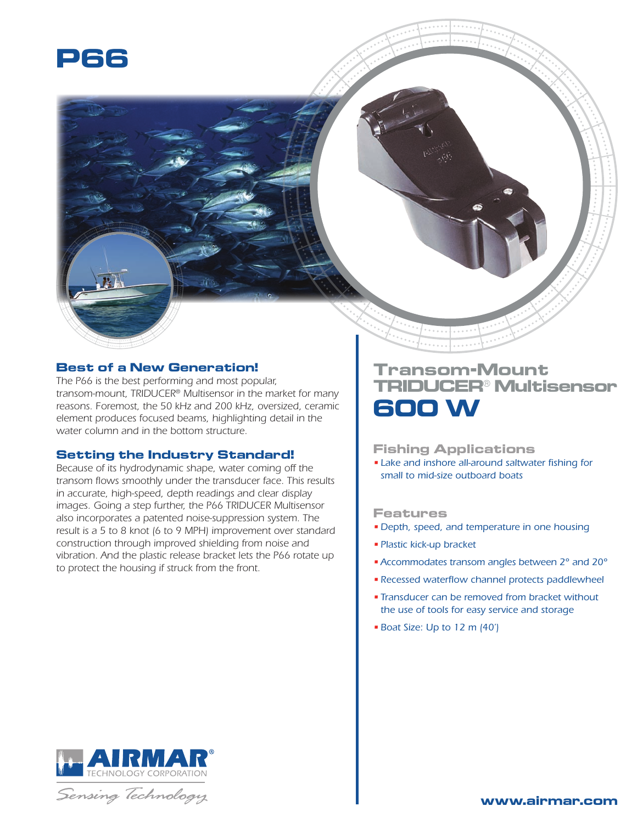

# **Best of a New Generation!**

*The P66 is the best performing and most popular, transom-mount, TRIDUCER® Multisensor in the market for many reasons. Foremost, the 50 kHz and 200 kHz, oversized, ceramic element produces focused beams, highlighting detail in the water column and in the bottom structure.*

## **Setting the Industry Standard!**

*Because of its hydrodynamic shape, water coming off the transom flows smoothly under the transducer face. This results in accurate, high-speed, depth readings and clear display images. Going a step further, the P66 TRIDUCER Multisensor also incorporates a patented noise-suppression system. The result is a 5 to 8 knot (6 to 9 MPH) improvement over standard construction through improved shielding from noise and vibration. And the plastic release bracket lets the P66 rotate up to protect the housing if struck from the front.*

# **Transom-Mount TRIDUCER® Multisensor 600 W**

#### **Fishing Applications**

• *Lake and inshore all-around saltwater fishing for small to mid-size outboard boats*

#### **Features**

- *Depth, speed, and temperature in one housing*
- *Plastic kick-up bracket*
- •*Accommodates transom angles between 2° and 20°*
- *Recessed waterflow channel protects paddlewheel*
- *Transducer can be removed from bracket without the use of tools for easy service and storage*
- *Boat Size: Up to 12 m (40')*



Sensing Technology